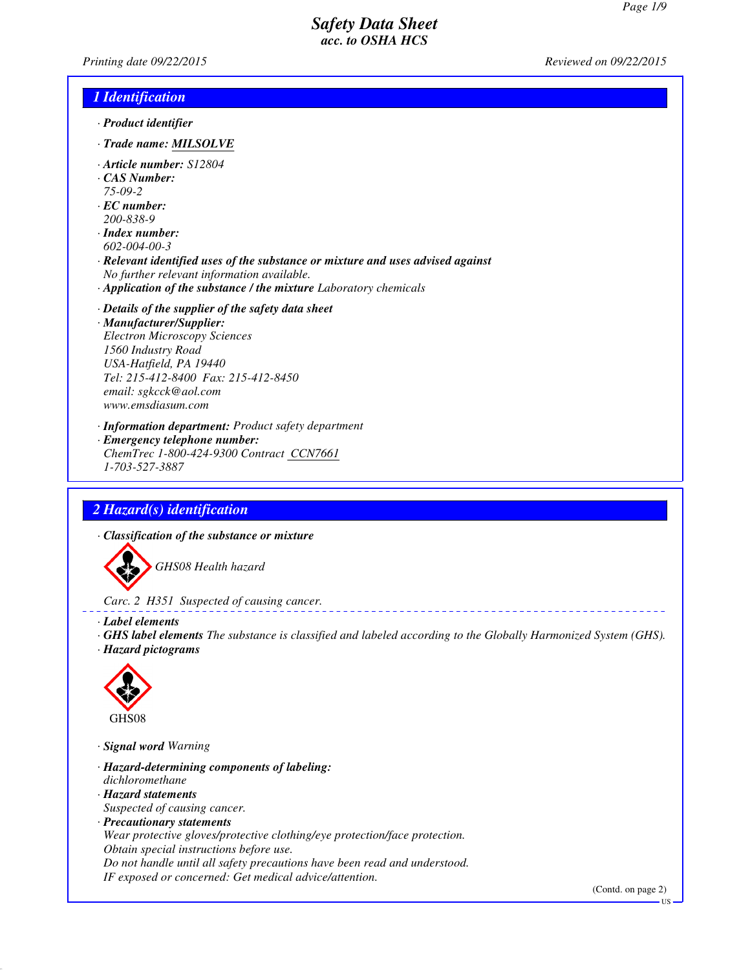*Printing date 09/22/2015 Reviewed on 09/22/2015*

### *1 Identification*

- *· Product identifier*
- *· Trade name: MILSOLVE*
- *· Article number: S12804*
- *· CAS Number:*
- *75-09-2*
- *· EC number: 200-838-9*
- *· Index number: 602-004-00-3*
- *· Relevant identified uses of the substance or mixture and uses advised against No further relevant information available.*
- *· Application of the substance / the mixture Laboratory chemicals*
- *· Details of the supplier of the safety data sheet · Manufacturer/Supplier: Electron Microscopy Sciences 1560 Industry Road USA-Hatfield, PA 19440 Tel: 215-412-8400 Fax: 215-412-8450 email: sgkcck@aol.com www.emsdiasum.com*
- *· Information department: Product safety department · Emergency telephone number: ChemTrec 1-800-424-9300 Contract CCN7661 1-703-527-3887*

### *2 Hazard(s) identification*

*· Classification of the substance or mixture*



*Carc. 2 H351 Suspected of causing cancer.*

- *· Label elements*
- *· GHS label elements The substance is classified and labeled according to the Globally Harmonized System (GHS). · Hazard pictograms*



*· Signal word Warning*

- *· Hazard-determining components of labeling: dichloromethane*
- *· Hazard statements*
- *Suspected of causing cancer.*
- *· Precautionary statements*
- *Wear protective gloves/protective clothing/eye protection/face protection. Obtain special instructions before use.*
- *Do not handle until all safety precautions have been read and understood.*
- *IF exposed or concerned: Get medical advice/attention.*

(Contd. on page 2)

US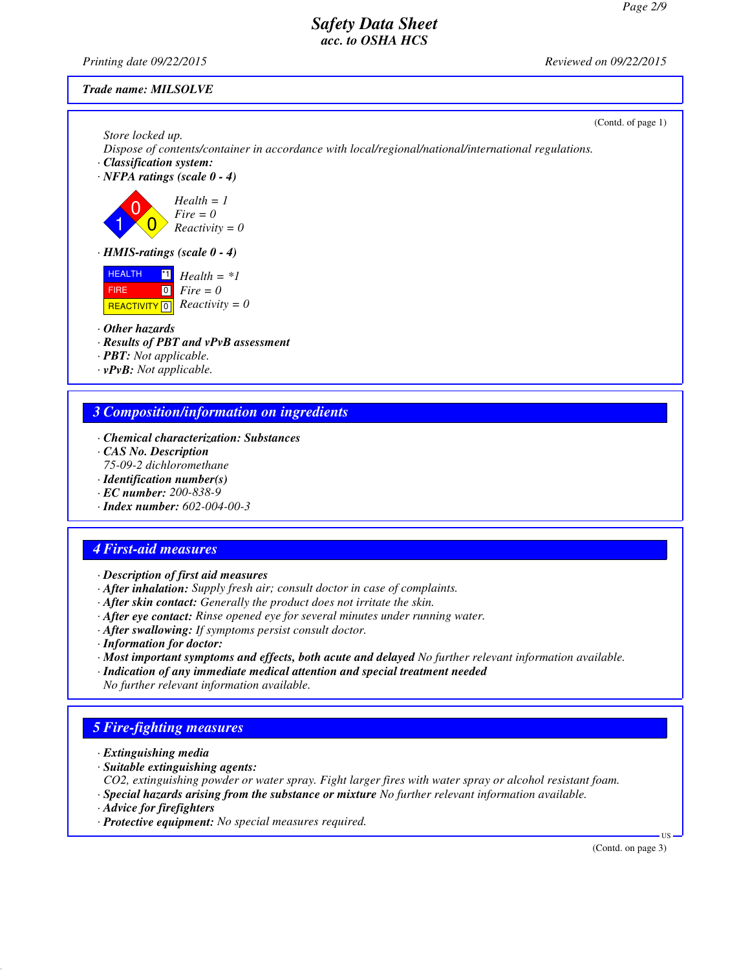*Printing date 09/22/2015 Reviewed on 09/22/2015*

### *Trade name: MILSOLVE*

(Contd. of page 1)

*Store locked up. Dispose of contents/container in accordance with local/regional/national/international regulations.*

- *· Classification system:*
- *· NFPA ratings (scale 0 4)*

1  $\overline{0}$  $\overline{0}$ *Health = 1 Fire = 0 Reactivity = 0*

*· HMIS-ratings (scale 0 - 4)*

**HEALTH**  FIRE  $R$ **REACTIVITY**  $\boxed{0}$  *Reactivity = 0*  $\mathbf{H}$  *Health* = \**1*  $\overline{10}$ *Fire = 0*

*· Other hazards*

*· Results of PBT and vPvB assessment*

*· PBT: Not applicable.*

*· vPvB: Not applicable.*

### *3 Composition/information on ingredients*

- *· Chemical characterization: Substances*
- *· CAS No. Description*
- *75-09-2 dichloromethane*
- *· Identification number(s)*
- *· EC number: 200-838-9*
- *· Index number: 602-004-00-3*

### *4 First-aid measures*

- *· Description of first aid measures*
- *· After inhalation: Supply fresh air; consult doctor in case of complaints.*
- *· After skin contact: Generally the product does not irritate the skin.*
- *· After eye contact: Rinse opened eye for several minutes under running water.*
- *· After swallowing: If symptoms persist consult doctor.*
- *· Information for doctor:*
- *· Most important symptoms and effects, both acute and delayed No further relevant information available.*
- *· Indication of any immediate medical attention and special treatment needed No further relevant information available.*

## *5 Fire-fighting measures*

- *· Extinguishing media*
- *· Suitable extinguishing agents:*

*CO2, extinguishing powder or water spray. Fight larger fires with water spray or alcohol resistant foam.*

- *· Special hazards arising from the substance or mixture No further relevant information available.*
- *· Advice for firefighters*
- *· Protective equipment: No special measures required.*

(Contd. on page 3)

US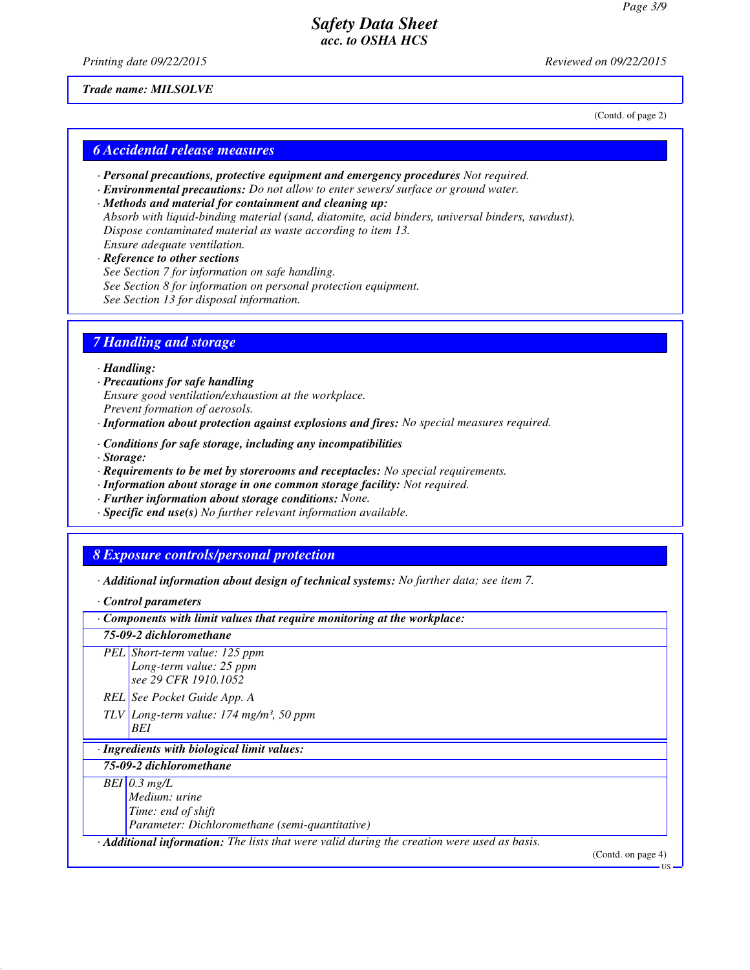*Printing date 09/22/2015 Reviewed on 09/22/2015*

(Contd. of page 2)

*Trade name: MILSOLVE*

*6 Accidental release measures*

- *· Personal precautions, protective equipment and emergency procedures Not required.*
- *· Environmental precautions: Do not allow to enter sewers/ surface or ground water.*
- *· Methods and material for containment and cleaning up: Absorb with liquid-binding material (sand, diatomite, acid binders, universal binders, sawdust). Dispose contaminated material as waste according to item 13. Ensure adequate ventilation.*

#### *· Reference to other sections*

- *See Section 7 for information on safe handling.*
- *See Section 8 for information on personal protection equipment.*
- *See Section 13 for disposal information.*

#### *7 Handling and storage*

*· Handling:*

- *· Precautions for safe handling Ensure good ventilation/exhaustion at the workplace. Prevent formation of aerosols.*
- *· Information about protection against explosions and fires: No special measures required.*
- *· Conditions for safe storage, including any incompatibilities*
- *· Storage:*
- *· Requirements to be met by storerooms and receptacles: No special requirements.*
- *· Information about storage in one common storage facility: Not required.*
- *· Further information about storage conditions: None.*
- *· Specific end use(s) No further relevant information available.*

#### *8 Exposure controls/personal protection*

*· Additional information about design of technical systems: No further data; see item 7.*

*<sup>·</sup> Control parameters*

| Components with limit values that require monitoring at the workplace:                      |                             |  |  |
|---------------------------------------------------------------------------------------------|-----------------------------|--|--|
| 75-09-2 dichloromethane                                                                     |                             |  |  |
| PEL Short-term value: 125 ppm<br>Long-term value: 25 ppm<br>see 29 CFR 1910.1052            |                             |  |  |
| REL See Pocket Guide App. A                                                                 |                             |  |  |
| $TLV$ Long-term value: 174 mg/m <sup>3</sup> , 50 ppm<br>BEI                                |                             |  |  |
| · Ingredients with biological limit values:                                                 |                             |  |  |
| 75-09-2 dichloromethane                                                                     |                             |  |  |
| $\overline{BEI}$ 0.3 mg/L<br>Medium: urine<br>Time: end of shift                            |                             |  |  |
| Parameter: Dichloromethane (semi-quantitative)                                              |                             |  |  |
| · Additional information: The lists that were valid during the creation were used as basis. | (Contd. on page 4)<br>-110- |  |  |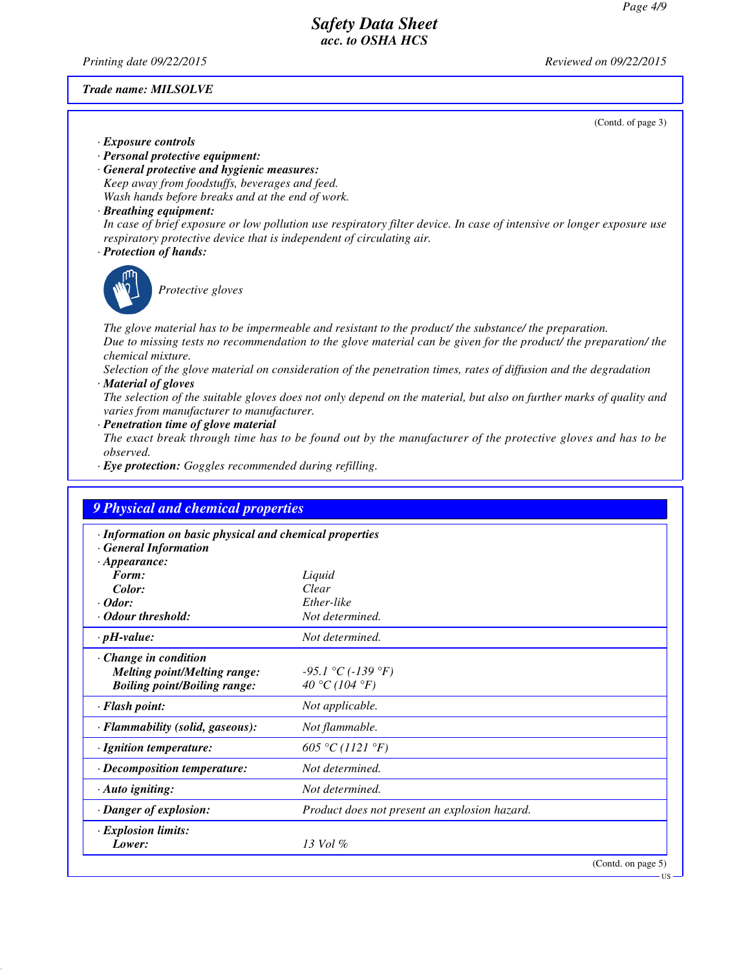*Printing date 09/22/2015 Reviewed on 09/22/2015*

#### *Trade name: MILSOLVE*

(Contd. of page 3)

US

- *· Exposure controls*
- *· Personal protective equipment:*
- *· General protective and hygienic measures: Keep away from foodstuffs, beverages and feed. Wash hands before breaks and at the end of work.*
- *· Breathing equipment:*

*In case of brief exposure or low pollution use respiratory filter device. In case of intensive or longer exposure use respiratory protective device that is independent of circulating air.*

*· Protection of hands:*



*Protective gloves*

*The glove material has to be impermeable and resistant to the product/ the substance/ the preparation. Due to missing tests no recommendation to the glove material can be given for the product/ the preparation/ the chemical mixture.*

*Selection of the glove material on consideration of the penetration times, rates of diffusion and the degradation · Material of gloves*

*The selection of the suitable gloves does not only depend on the material, but also on further marks of quality and varies from manufacturer to manufacturer.*

*· Penetration time of glove material*

*The exact break through time has to be found out by the manufacturer of the protective gloves and has to be observed.*

*· Eye protection: Goggles recommended during refilling.*

| · Information on basic physical and chemical properties |                                               |  |
|---------------------------------------------------------|-----------------------------------------------|--|
| <b>General Information</b>                              |                                               |  |
| $\cdot$ Appearance:                                     |                                               |  |
| Form:                                                   | Liquid                                        |  |
| Color:                                                  | Clear                                         |  |
| $\cdot$ Odor:                                           | Ether-like                                    |  |
| · Odour threshold:                                      | Not determined.                               |  |
| $\cdot$ pH-value:                                       | Not determined.                               |  |
| Change in condition                                     |                                               |  |
| <b>Melting point/Melting range:</b>                     | $-95.1$ °C ( $-139$ °F)                       |  |
| <b>Boiling point/Boiling range:</b>                     | 40 °C (104 °F)                                |  |
| · Flash point:                                          | Not applicable.                               |  |
| · Flammability (solid, gaseous):                        | Not flammable.                                |  |
| · Ignition temperature:                                 | 605 °C (1121 °F)                              |  |
| $\cdot$ Decomposition temperature:                      | Not determined.                               |  |
| $\cdot$ Auto igniting:                                  | Not determined.                               |  |
| $\cdot$ Danger of explosion:                            | Product does not present an explosion hazard. |  |
| · Explosion limits:                                     |                                               |  |
| Lower:                                                  | $13$ Vol $\%$                                 |  |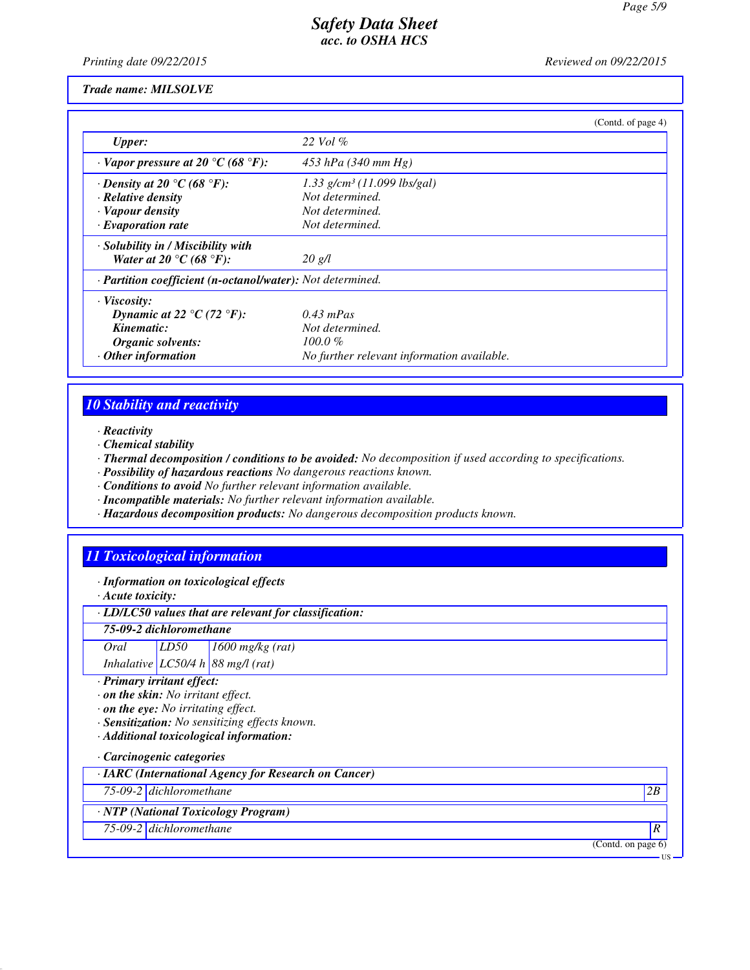*Printing date 09/22/2015 Reviewed on 09/22/2015*

#### *Trade name: MILSOLVE*

|                                                            |                                            | (Contd. of page 4) |
|------------------------------------------------------------|--------------------------------------------|--------------------|
| <b>Upper:</b>                                              | 22 Vol $\%$                                |                    |
| $\cdot$ Vapor pressure at 20 °C (68 °F):                   | $453$ hPa (340 mm Hg)                      |                    |
| $\cdot$ Density at 20 °C (68 °F):                          | $1.33$ g/cm <sup>3</sup> (11.099 lbs/gal)  |                    |
| $\cdot$ Relative density                                   | Not determined.                            |                    |
| · Vapour density                                           | Not determined.                            |                    |
| $\cdot$ Evaporation rate                                   | Not determined.                            |                    |
| · Solubility in / Miscibility with                         |                                            |                    |
| Water at 20 °C (68 °F):                                    | $20 \text{ g/l}$                           |                    |
| · Partition coefficient (n-octanol/water): Not determined. |                                            |                    |
| $\cdot$ Viscosity:                                         |                                            |                    |
| Dynamic at 22 $\degree$ C (72 $\degree$ F):                | $0.43$ mPas                                |                    |
| Kinematic:                                                 | Not determined.                            |                    |
| Organic solvents:                                          | $100.0 \%$                                 |                    |
| $\cdot$ Other information                                  | No further relevant information available. |                    |

# *10 Stability and reactivity*

*· Reactivity*

*· Chemical stability*

*· Thermal decomposition / conditions to be avoided: No decomposition if used according to specifications.*

*· Possibility of hazardous reactions No dangerous reactions known.*

*· Conditions to avoid No further relevant information available.*

*· Incompatible materials: No further relevant information available.*

*· Hazardous decomposition products: No dangerous decomposition products known.*

### *11 Toxicological information*

*· Information on toxicological effects*

*· Acute toxicity:*

*· LD/LC50 values that are relevant for classification:*

*75-09-2 dichloromethane*

*Oral LD50 1600 mg/kg (rat)*

*Inhalative LC50/4 h 88 mg/l (rat)*

*· Primary irritant effect:*

*· on the skin: No irritant effect.*

*· on the eye: No irritating effect.*

*· Sensitization: No sensitizing effects known.*

*· Additional toxicological information:*

#### *· Carcinogenic categories*

*· IARC (International Agency for Research on Cancer)*

*75-09-2 dichloromethane 2B*

*· NTP (National Toxicology Program)*

*75-09-2 dichloromethane R* 

(Contd. on page 6)

US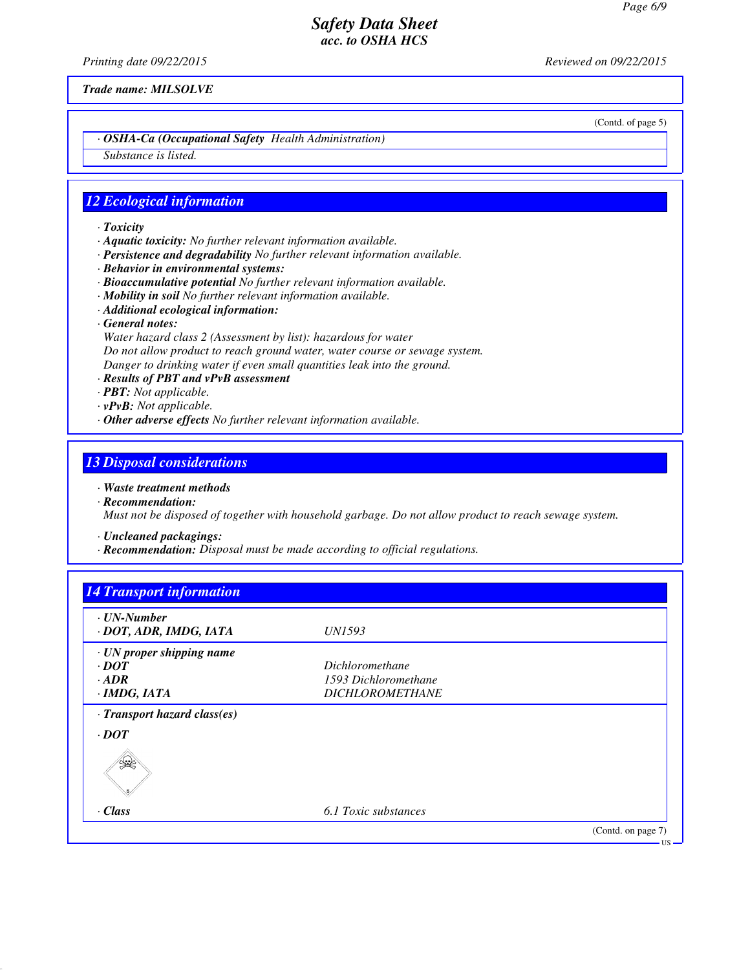*Printing date 09/22/2015 Reviewed on 09/22/2015*

*Trade name: MILSOLVE*

(Contd. of page 5)

*· OSHA-Ca (Occupational Safety Health Administration)*

*Substance is listed.*

### *12 Ecological information*

- *· Toxicity*
- *· Aquatic toxicity: No further relevant information available.*
- *· Persistence and degradability No further relevant information available.*
- *· Behavior in environmental systems:*
- *· Bioaccumulative potential No further relevant information available.*
- *· Mobility in soil No further relevant information available.*
- *· Additional ecological information:*
- *· General notes:*

*Water hazard class 2 (Assessment by list): hazardous for water Do not allow product to reach ground water, water course or sewage system. Danger to drinking water if even small quantities leak into the ground.*

- *· Results of PBT and vPvB assessment*
- *· PBT: Not applicable.*
- *· vPvB: Not applicable.*
- *· Other adverse effects No further relevant information available.*

#### *13 Disposal considerations*

- *· Waste treatment methods*
- *· Recommendation: Must not be disposed of together with household garbage. Do not allow product to reach sewage system.*

*· Uncleaned packagings:*

*· Recommendation: Disposal must be made according to official regulations.*

| · UN-Number<br>· DOT, ADR, IMDG, IATA | <i>UN1593</i>          |  |
|---------------------------------------|------------------------|--|
|                                       |                        |  |
| · UN proper shipping name             |                        |  |
| $\cdot$ <i>DOT</i>                    | <i>Dichloromethane</i> |  |
| $-ADR$                                | 1593 Dichloromethane   |  |
| $\cdot$ IMDG, IATA                    | <b>DICHLOROMETHANE</b> |  |
| · Transport hazard class(es)          |                        |  |
| $\cdot$ <i>DOT</i>                    |                        |  |
|                                       |                        |  |
| $\cdot$ Class                         | 6.1 Toxic substances   |  |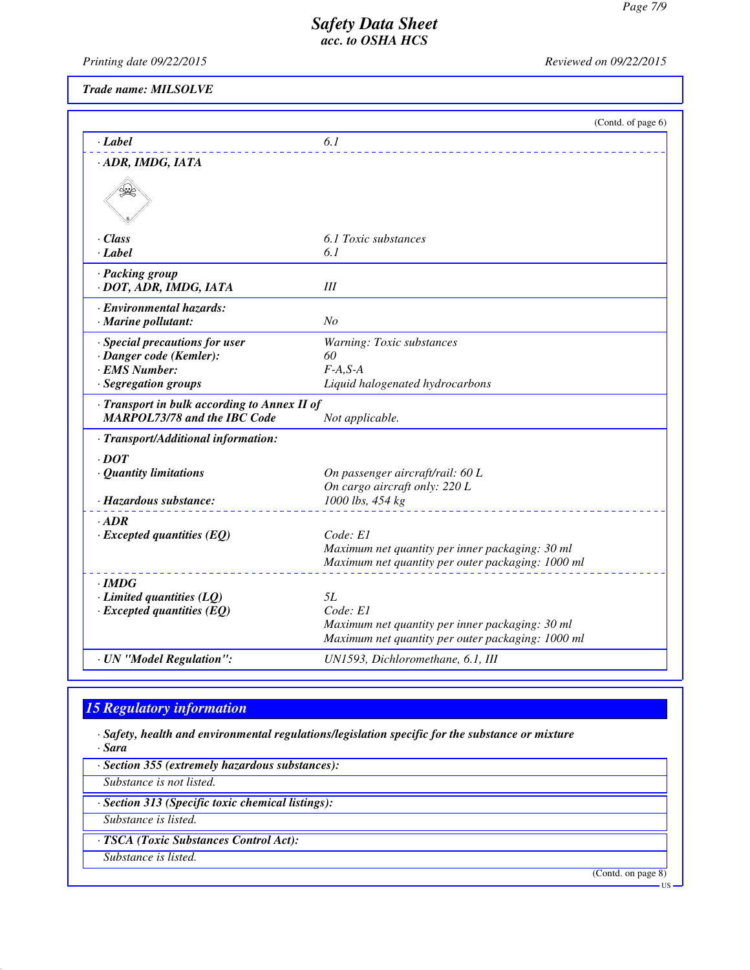*Printing date 09/22/2015 Reviewed on 09/22/2015*

*Trade name: MILSOLVE*

|                                                                                   | (Contd. of page 6)                                |
|-----------------------------------------------------------------------------------|---------------------------------------------------|
| · Label                                                                           | 6.1                                               |
| · ADR, IMDG, IATA                                                                 |                                                   |
|                                                                                   |                                                   |
| · Class                                                                           | 6.1 Toxic substances                              |
| · Label                                                                           | 6.1                                               |
| · Packing group<br>· DOT, ADR, IMDG, IATA                                         | III                                               |
| · Environmental hazards:                                                          |                                                   |
| $\cdot$ Marine pollutant:                                                         | N <sub>o</sub>                                    |
| · Special precautions for user                                                    | Warning: Toxic substances                         |
| · Danger code (Kemler):                                                           | 60                                                |
| <b>EMS Number:</b>                                                                | $F-A,S-A$                                         |
| · Segregation groups                                                              | Liquid halogenated hydrocarbons                   |
| Transport in bulk according to Annex II of<br><b>MARPOL73/78 and the IBC Code</b> | Not applicable.                                   |
| · Transport/Additional information:                                               |                                                   |
| $\cdot$ DOT                                                                       |                                                   |
| · Quantity limitations                                                            | On passenger aircraft/rail: 60 L                  |
|                                                                                   | On cargo aircraft only: 220 L                     |
| · Hazardous substance:                                                            | 1000 lbs, 454 kg                                  |
| $-ADR$                                                                            |                                                   |
| $\cdot$ Excepted quantities (EQ)                                                  | Code: E1                                          |
|                                                                                   | Maximum net quantity per inner packaging: 30 ml   |
|                                                                                   | Maximum net quantity per outer packaging: 1000 ml |
| $\cdot$ IMDG                                                                      |                                                   |
| $\cdot$ Limited quantities (LQ)                                                   | 5L                                                |
| $\cdot$ Excepted quantities (EQ)                                                  | Code: E1                                          |
|                                                                                   | Maximum net quantity per inner packaging: 30 ml   |
|                                                                                   | Maximum net quantity per outer packaging: 1000 ml |
| · UN "Model Regulation":                                                          | UN1593, Dichloromethane, 6.1, III                 |

## *15 Regulatory information*

*· Safety, health and environmental regulations/legislation specific for the substance or mixture · Sara*

*· Section 355 (extremely hazardous substances):*

*Substance is not listed.*

*· Section 313 (Specific toxic chemical listings):*

*Substance is listed.*

*· TSCA (Toxic Substances Control Act):*

*Substance is listed.*

(Contd. on page 8)

US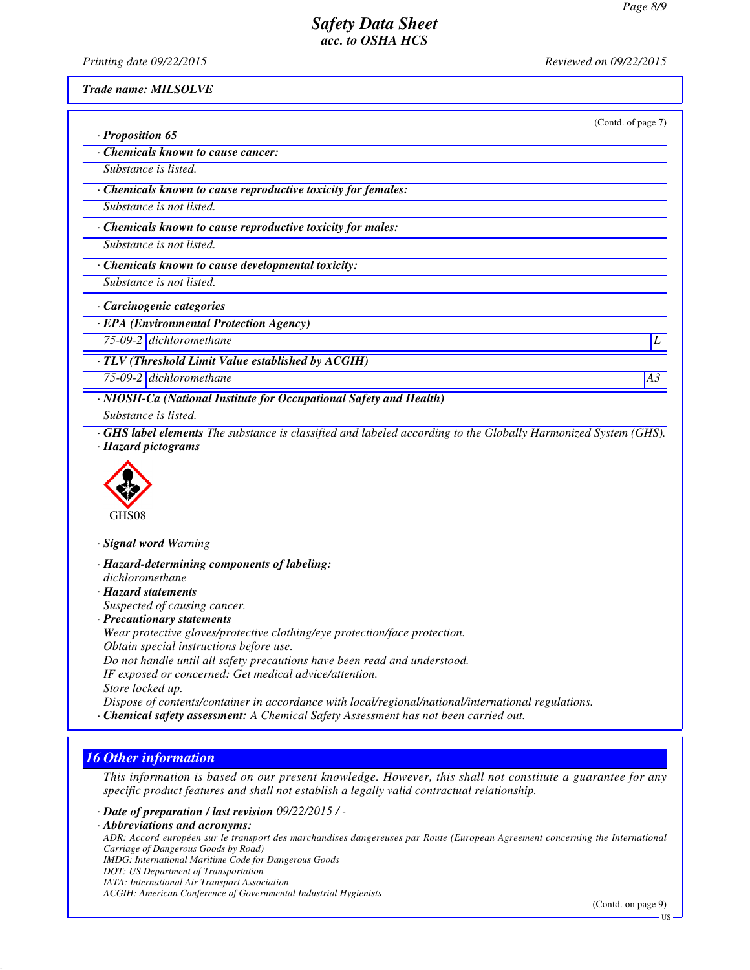*Printing date 09/22/2015 Reviewed on 09/22/2015*

*Trade name: MILSOLVE*

|                                                                                                                                             | (Contd. of page 7) |
|---------------------------------------------------------------------------------------------------------------------------------------------|--------------------|
| $\cdot$ Proposition 65                                                                                                                      |                    |
| Chemicals known to cause cancer:                                                                                                            |                    |
| Substance is listed.                                                                                                                        |                    |
| · Chemicals known to cause reproductive toxicity for females:                                                                               |                    |
| Substance is not listed.                                                                                                                    |                    |
| Chemicals known to cause reproductive toxicity for males:                                                                                   |                    |
| Substance is not listed.                                                                                                                    |                    |
| Chemicals known to cause developmental toxicity:                                                                                            |                    |
| Substance is not listed.                                                                                                                    |                    |
| · Carcinogenic categories                                                                                                                   |                    |
| · EPA (Environmental Protection Agency)                                                                                                     |                    |
| 75-09-2 dichloromethane                                                                                                                     |                    |
| $\cdot$ TLV (Threshold Limit Value established by ACGIH)                                                                                    |                    |
| 75-09-2 dichloromethane                                                                                                                     | A3                 |
| · NIOSH-Ca (National Institute for Occupational Safety and Health)                                                                          |                    |
| Substance is listed.                                                                                                                        |                    |
| <b>GHS label elements</b> The substance is classified and labeled according to the Globally Harmonized System (GHS).<br>· Hazard pictograms |                    |



*· Signal word Warning*

*· Hazard-determining components of labeling: dichloromethane · Hazard statements Suspected of causing cancer. · Precautionary statements Wear protective gloves/protective clothing/eye protection/face protection. Obtain special instructions before use. Do not handle until all safety precautions have been read and understood. IF exposed or concerned: Get medical advice/attention. Store locked up. Dispose of contents/container in accordance with local/regional/national/international regulations. · Chemical safety assessment: A Chemical Safety Assessment has not been carried out.*

# *16 Other information*

*This information is based on our present knowledge. However, this shall not constitute a guarantee for any specific product features and shall not establish a legally valid contractual relationship.*

*· Date of preparation / last revision 09/22/2015 / -*

*· Abbreviations and acronyms: ADR: Accord européen sur le transport des marchandises dangereuses par Route (European Agreement concerning the International Carriage of Dangerous Goods by Road) IMDG: International Maritime Code for Dangerous Goods DOT: US Department of Transportation IATA: International Air Transport Association ACGIH: American Conference of Governmental Industrial Hygienists*

(Contd. on page 9)

US